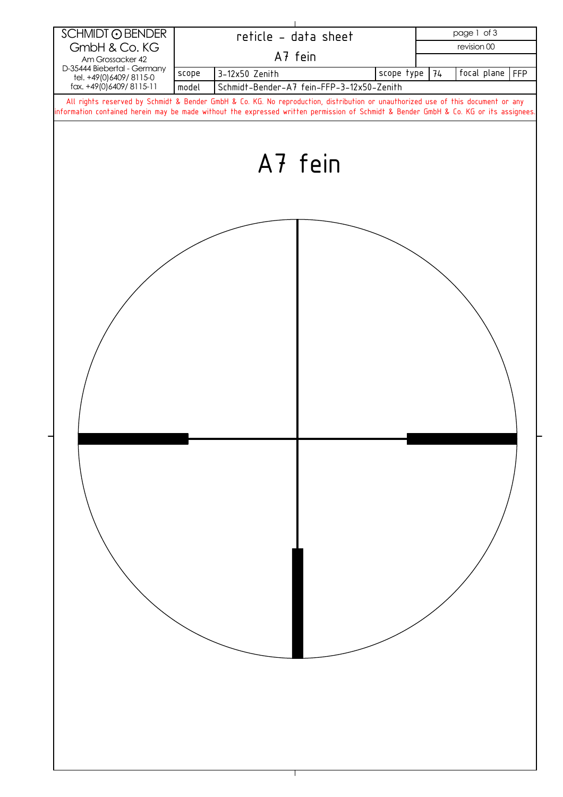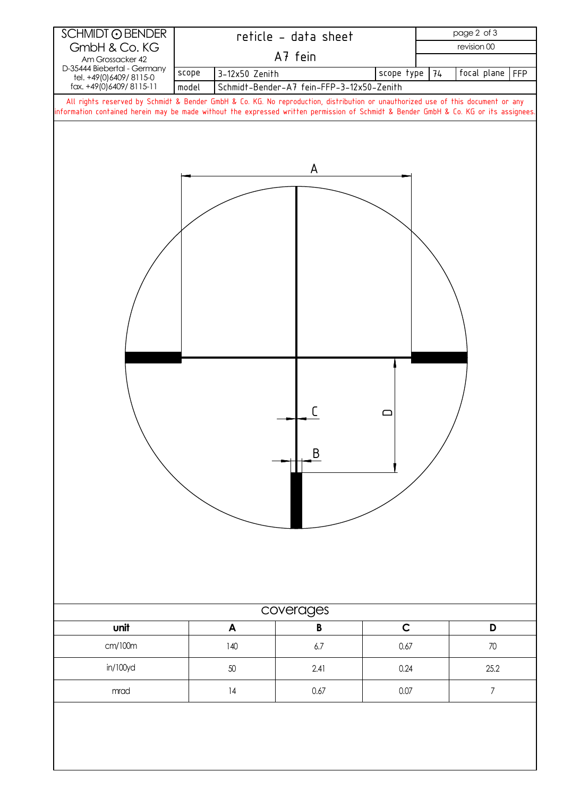